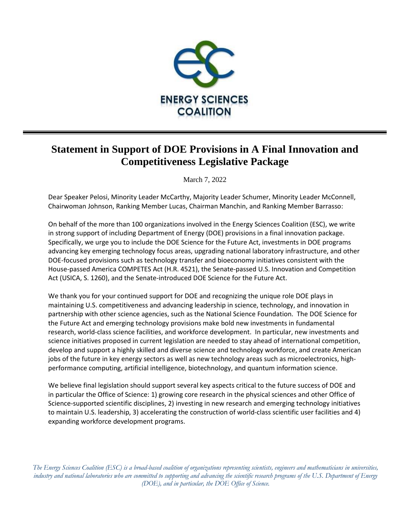

## **Statement in Support of DOE Provisions in A Final Innovation and Competitiveness Legislative Package**

March 7, 2022

Dear Speaker Pelosi, Minority Leader McCarthy, Majority Leader Schumer, Minority Leader McConnell, Chairwoman Johnson, Ranking Member Lucas, Chairman Manchin, and Ranking Member Barrasso:

On behalf of the more than 100 organizations involved in the Energy Sciences Coalition (ESC), we write in strong support of including Department of Energy (DOE) provisions in a final innovation package. Specifically, we urge you to include the DOE Science for the Future Act, investments in DOE programs advancing key emerging technology focus areas, upgrading national laboratory infrastructure, and other DOE-focused provisions such as technology transfer and bioeconomy initiatives consistent with the House-passed America COMPETES Act (H.R. 4521), the Senate-passed U.S. Innovation and Competition Act (USICA, S. 1260), and the Senate-introduced DOE Science for the Future Act.

We thank you for your continued support for DOE and recognizing the unique role DOE plays in maintaining U.S. competitiveness and advancing leadership in science, technology, and innovation in partnership with other science agencies, such as the National Science Foundation. The DOE Science for the Future Act and emerging technology provisions make bold new investments in fundamental research, world-class science facilities, and workforce development. In particular, new investments and science initiatives proposed in current legislation are needed to stay ahead of international competition, develop and support a highly skilled and diverse science and technology workforce, and create American jobs of the future in key energy sectors as well as new technology areas such as microelectronics, highperformance computing, artificial intelligence, biotechnology, and quantum information science.

We believe final legislation should support several key aspects critical to the future success of DOE and in particular the Office of Science: 1) growing core research in the physical sciences and other Office of Science-supported scientific disciplines, 2) investing in new research and emerging technology initiatives to maintain U.S. leadership, 3) accelerating the construction of world-class scientific user facilities and 4) expanding workforce development programs.

*The Energy Sciences Coalition (ESC) is a broad-based coalition of organizations representing scientists, engineers and mathematicians in universities, industry and national laboratories who are committed to supporting and advancing the scientific research programs of the U.S. Department of Energy (DOE), and in particular, the DOE Office of Science.*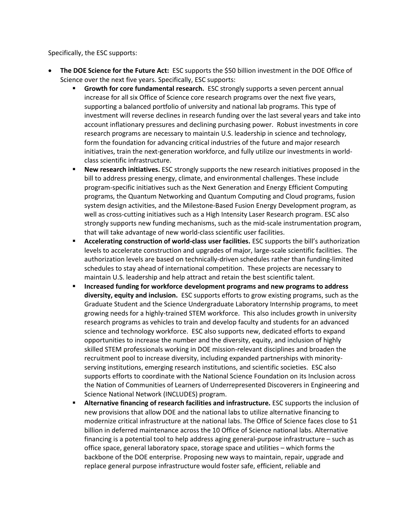Specifically, the ESC supports:

- **The DOE Science for the Future Act:** ESC supports the \$50 billion investment in the DOE Office of Science over the next five years. Specifically, ESC supports:
	- **Growth for core fundamental research.** ESC strongly supports a seven percent annual increase for all six Office of Science core research programs over the next five years, supporting a balanced portfolio of university and national lab programs. This type of investment will reverse declines in research funding over the last several years and take into account inflationary pressures and declining purchasing power. Robust investments in core research programs are necessary to maintain U.S. leadership in science and technology, form the foundation for advancing critical industries of the future and major research initiatives, train the next-generation workforce, and fully utilize our investments in worldclass scientific infrastructure.
	- **EXECT** New research initiatives. ESC strongly supports the new research initiatives proposed in the bill to address pressing energy, climate, and environmental challenges. These include program-specific initiatives such as the Next Generation and Energy Efficient Computing programs, the Quantum Networking and Quantum Computing and Cloud programs, fusion system design activities, and the Milestone-Based Fusion Energy Development program, as well as cross-cutting initiatives such as a High Intensity Laser Research program. ESC also strongly supports new funding mechanisms, such as the mid-scale instrumentation program, that will take advantage of new world-class scientific user facilities.
	- **EXEC** Accelerating construction of world-class user facilities. ESC supports the bill's authorization levels to accelerate construction and upgrades of major, large-scale scientific facilities. The authorization levels are based on technically-driven schedules rather than funding-limited schedules to stay ahead of international competition. These projects are necessary to maintain U.S. leadership and help attract and retain the best scientific talent.
	- **Increased funding for workforce development programs and new programs to address diversity, equity and inclusion.** ESC supports efforts to grow existing programs, such as the Graduate Student and the Science Undergraduate Laboratory Internship programs, to meet growing needs for a highly-trained STEM workforce. This also includes growth in university research programs as vehicles to train and develop faculty and students for an advanced science and technology workforce. ESC also supports new, dedicated efforts to expand opportunities to increase the number and the diversity, equity, and inclusion of highly skilled STEM professionals working in DOE mission-relevant disciplines and broaden the recruitment pool to increase diversity, including expanded partnerships with minorityserving institutions, emerging research institutions, and scientific societies.ESC also supports efforts to coordinate with the National Science Foundation on its Inclusion across the Nation of Communities of Learners of Underrepresented Discoverers in Engineering and Science National Network (INCLUDES) program.
	- Alternative financing of research facilities and infrastructure. ESC supports the inclusion of new provisions that allow DOE and the national labs to utilize alternative financing to modernize critical infrastructure at the national labs. The Office of Science faces close to \$1 billion in deferred maintenance across the 10 Office of Science national labs. Alternative financing is a potential tool to help address aging general-purpose infrastructure – such as office space, general laboratory space, storage space and utilities – which forms the backbone of the DOE enterprise. Proposing new ways to maintain, repair, upgrade and replace general purpose infrastructure would foster safe, efficient, reliable and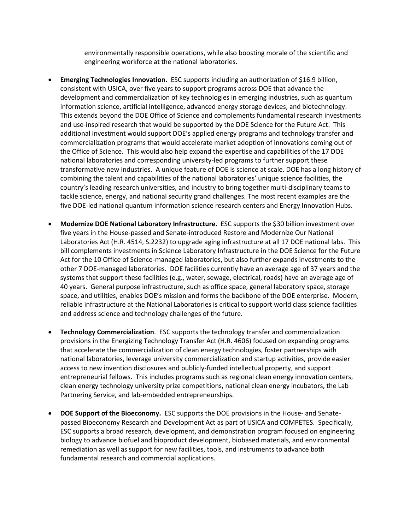environmentally responsible operations, while also boosting morale of the scientific and engineering workforce at the national laboratories.

- **Emerging Technologies Innovation.** ESC supports including an authorization of \$16.9 billion, consistent with USICA, over five years to support programs across DOE that advance the development and commercialization of key technologies in emerging industries, such as quantum information science, artificial intelligence, advanced energy storage devices, and biotechnology. This extends beyond the DOE Office of Science and complements fundamental research investments and use-inspired research that would be supported by the DOE Science for the Future Act. This additional investment would support DOE's applied energy programs and technology transfer and commercialization programs that would accelerate market adoption of innovations coming out of the Office of Science. This would also help expand the expertise and capabilities of the 17 DOE national laboratories and corresponding university-led programs to further support these transformative new industries. A unique feature of DOE is science at scale. DOE has a long history of combining the talent and capabilities of the national laboratories' unique science facilities, the country's leading research universities, and industry to bring together multi-disciplinary teams to tackle science, energy, and national security grand challenges. The most recent examples are the five DOE-led national quantum information science research centers and Energy Innovation Hubs.
- **Modernize DOE National Laboratory Infrastructure.** ESC supports the \$30 billion investment over five years in the House-passed and Senate-introduced Restore and Modernize Our National Laboratories Act (H.R. 4514, S.2232) to upgrade aging infrastructure at all 17 DOE national labs. This bill complements investments in Science Laboratory Infrastructure in the DOE Science for the Future Act for the 10 Office of Science-managed laboratories, but also further expands investments to the other 7 DOE-managed laboratories. DOE facilities currently have an average age of 37 years and the systems that support these facilities (e.g., water, sewage, electrical, roads) have an average age of 40 years. General purpose infrastructure, such as office space, general laboratory space, storage space, and utilities, enables DOE's mission and forms the backbone of the DOE enterprise. Modern, reliable infrastructure at the National Laboratories is critical to support world class science facilities and address science and technology challenges of the future.
- **Technology Commercialization**. ESC supports the technology transfer and commercialization provisions in the Energizing Technology Transfer Act (H.R. 4606) focused on expanding programs that accelerate the commercialization of clean energy technologies, foster partnerships with national laboratories, leverage university commercialization and startup activities, provide easier access to new invention disclosures and publicly-funded intellectual property, and support entrepreneurial fellows. This includes programs such as regional clean energy innovation centers, clean energy technology university prize competitions, national clean energy incubators, the Lab Partnering Service, and lab-embedded entrepreneurships.
- **DOE Support of the Bioeconomy.** ESC supports the DOE provisions in the House- and Senatepassed Bioeconomy Research and Development Act as part of USICA and COMPETES. Specifically, ESC supports a broad research, development, and demonstration program focused on engineering biology to advance biofuel and bioproduct development, biobased materials, and environmental remediation as well as support for new facilities, tools, and instruments to advance both fundamental research and commercial applications.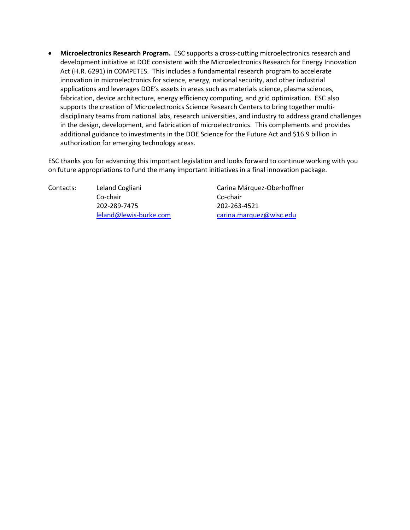• **Microelectronics Research Program.** ESC supports a cross-cutting microelectronics research and development initiative at DOE consistent with the Microelectronics Research for Energy Innovation Act (H.R. 6291) in COMPETES. This includes a fundamental research program to accelerate innovation in microelectronics for science, energy, national security, and other industrial applications and leverages DOE's assets in areas such as materials science, plasma sciences, fabrication, device architecture, energy efficiency computing, and grid optimization. ESC also supports the creation of Microelectronics Science Research Centers to bring together multidisciplinary teams from national labs, research universities, and industry to address grand challenges in the design, development, and fabrication of microelectronics. This complements and provides additional guidance to investments in the DOE Science for the Future Act and \$16.9 billion in authorization for emerging technology areas.

ESC thanks you for advancing this important legislation and looks forward to continue working with you on future appropriations to fund the many important initiatives in a final innovation package.

Contacts: Leland Cogliani Carina Márquez-Oberhoffner Co-chair Co-chair 202-289-7475 202-263-4521

[leland@lewis-burke.com](mailto:leland@lewis-burke.com) [carina.marquez@wisc.edu](mailto:carina.marquez@wisc.edu)